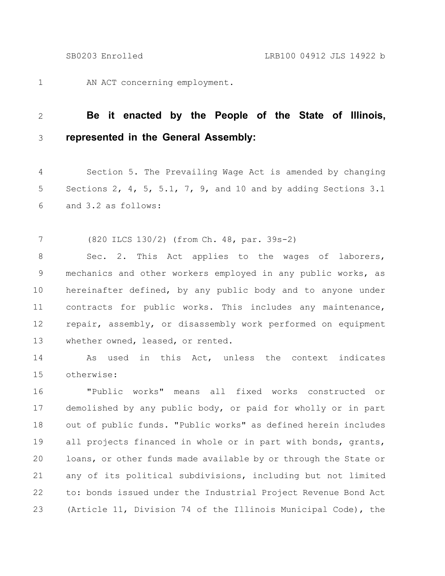AN ACT concerning employment. 1

## **Be it enacted by the People of the State of Illinois, represented in the General Assembly:** 2 3

Section 5. The Prevailing Wage Act is amended by changing Sections 2, 4, 5, 5.1, 7, 9, and 10 and by adding Sections 3.1 and 3.2 as follows: 4 5 6

(820 ILCS 130/2) (from Ch. 48, par. 39s-2) 7

Sec. 2. This Act applies to the wages of laborers, mechanics and other workers employed in any public works, as hereinafter defined, by any public body and to anyone under contracts for public works. This includes any maintenance, repair, assembly, or disassembly work performed on equipment whether owned, leased, or rented. 8 9 10 11 12 13

As used in this Act, unless the context indicates otherwise: 14 15

"Public works" means all fixed works constructed or demolished by any public body, or paid for wholly or in part out of public funds. "Public works" as defined herein includes all projects financed in whole or in part with bonds, grants, loans, or other funds made available by or through the State or any of its political subdivisions, including but not limited to: bonds issued under the Industrial Project Revenue Bond Act (Article 11, Division 74 of the Illinois Municipal Code), the 16 17 18 19 20 21 22 23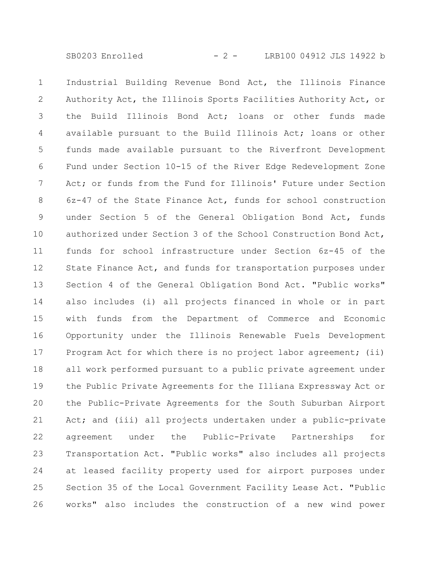SB0203 Enrolled - 2 - LRB100 04912 JLS 14922 b

Industrial Building Revenue Bond Act, the Illinois Finance Authority Act, the Illinois Sports Facilities Authority Act, or the Build Illinois Bond Act; loans or other funds made available pursuant to the Build Illinois Act; loans or other funds made available pursuant to the Riverfront Development Fund under Section 10-15 of the River Edge Redevelopment Zone Act; or funds from the Fund for Illinois' Future under Section 6z-47 of the State Finance Act, funds for school construction under Section 5 of the General Obligation Bond Act, funds authorized under Section 3 of the School Construction Bond Act, funds for school infrastructure under Section 6z-45 of the State Finance Act, and funds for transportation purposes under Section 4 of the General Obligation Bond Act. "Public works" also includes (i) all projects financed in whole or in part with funds from the Department of Commerce and Economic Opportunity under the Illinois Renewable Fuels Development Program Act for which there is no project labor agreement; (ii) all work performed pursuant to a public private agreement under the Public Private Agreements for the Illiana Expressway Act or the Public-Private Agreements for the South Suburban Airport Act; and (iii) all projects undertaken under a public-private agreement under the Public-Private Partnerships for Transportation Act. "Public works" also includes all projects at leased facility property used for airport purposes under Section 35 of the Local Government Facility Lease Act. "Public works" also includes the construction of a new wind power 1 2 3 4 5 6 7 8 9 10 11 12 13 14 15 16 17 18 19 20 21 22 23 24 25 26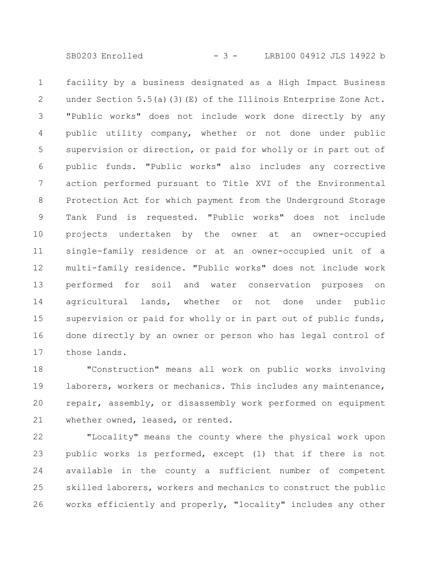SB0203 Enrolled - 3 - LRB100 04912 JLS 14922 b

facility by a business designated as a High Impact Business under Section 5.5(a)(3)(E) of the Illinois Enterprise Zone Act. "Public works" does not include work done directly by any public utility company, whether or not done under public supervision or direction, or paid for wholly or in part out of public funds. "Public works" also includes any corrective action performed pursuant to Title XVI of the Environmental Protection Act for which payment from the Underground Storage Tank Fund is requested. "Public works" does not include projects undertaken by the owner at an owner-occupied single-family residence or at an owner-occupied unit of a multi-family residence. "Public works" does not include work performed for soil and water conservation purposes on agricultural lands, whether or not done under public supervision or paid for wholly or in part out of public funds, done directly by an owner or person who has legal control of those lands. 1 2 3 4 5 6 7 8 9 10 11 12 13 14 15 16 17

"Construction" means all work on public works involving laborers, workers or mechanics. This includes any maintenance, repair, assembly, or disassembly work performed on equipment whether owned, leased, or rented. 18 19 20 21

"Locality" means the county where the physical work upon public works is performed, except (1) that if there is not available in the county a sufficient number of competent skilled laborers, workers and mechanics to construct the public works efficiently and properly, "locality" includes any other 22 23 24 25 26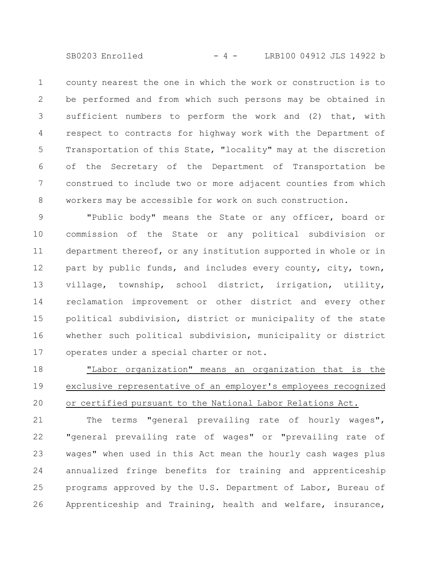SB0203 Enrolled - 4 - LRB100 04912 JLS 14922 b

county nearest the one in which the work or construction is to be performed and from which such persons may be obtained in sufficient numbers to perform the work and (2) that, with respect to contracts for highway work with the Department of Transportation of this State, "locality" may at the discretion of the Secretary of the Department of Transportation be construed to include two or more adjacent counties from which workers may be accessible for work on such construction. 1 2 3 4 5 6 7 8

"Public body" means the State or any officer, board or commission of the State or any political subdivision or department thereof, or any institution supported in whole or in part by public funds, and includes every county, city, town, village, township, school district, irrigation, utility, reclamation improvement or other district and every other political subdivision, district or municipality of the state whether such political subdivision, municipality or district operates under a special charter or not. 9 10 11 12 13 14 15 16 17

"Labor organization" means an organization that is the exclusive representative of an employer's employees recognized or certified pursuant to the National Labor Relations Act. 18 19 20

The terms "general prevailing rate of hourly wages", "general prevailing rate of wages" or "prevailing rate of wages" when used in this Act mean the hourly cash wages plus annualized fringe benefits for training and apprenticeship programs approved by the U.S. Department of Labor, Bureau of Apprenticeship and Training, health and welfare, insurance, 21 22 23 24 25 26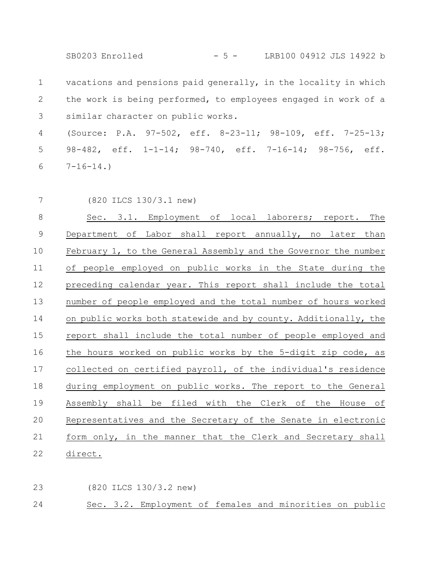SB0203 Enrolled - 5 - LRB100 04912 JLS 14922 b

vacations and pensions paid generally, in the locality in which the work is being performed, to employees engaged in work of a similar character on public works. 1 2 3

(Source: P.A. 97-502, eff. 8-23-11; 98-109, eff. 7-25-13; 98-482, eff. 1-1-14; 98-740, eff. 7-16-14; 98-756, eff.  $7-16-14.$ 4 5 6

7

(820 ILCS 130/3.1 new)

Sec. 3.1. Employment of local laborers; report. The Department of Labor shall report annually, no later than February 1, to the General Assembly and the Governor the number of people employed on public works in the State during the preceding calendar year. This report shall include the total number of people employed and the total number of hours worked on public works both statewide and by county. Additionally, the report shall include the total number of people employed and the hours worked on public works by the 5-digit zip code, as collected on certified payroll, of the individual's residence during employment on public works. The report to the General Assembly shall be filed with the Clerk of the House of Representatives and the Secretary of the Senate in electronic form only, in the manner that the Clerk and Secretary shall direct. 8 9 10 11 12 13 14 15 16 17 18 19 20 21 22

(820 ILCS 130/3.2 new) 23

Sec. 3.2. Employment of females and minorities on public 24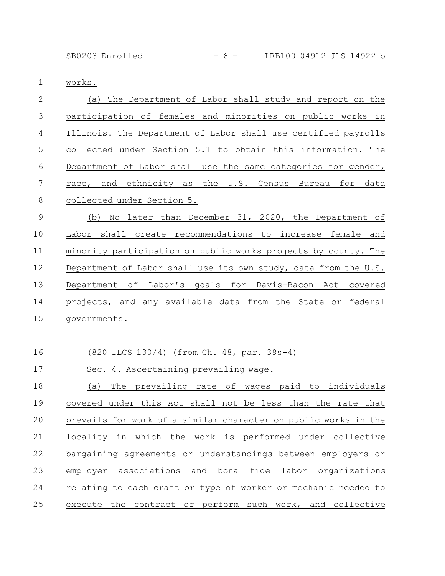## SB0203 Enrolled - 6 - LRB100 04912 JLS 14922 b

works. 1

| $\mathbf{2}$   | (a) The Department of Labor shall study and report on the       |
|----------------|-----------------------------------------------------------------|
| $\mathfrak{Z}$ | participation of females and minorities on public works in      |
| $\overline{4}$ | Illinois. The Department of Labor shall use certified payrolls  |
| 5              | collected under Section 5.1 to obtain this information. The     |
| 6              | Department of Labor shall use the same categories for gender,   |
| $\overline{7}$ | race, and ethnicity as the U.S. Census Bureau for data          |
| $\,8\,$        | collected under Section 5.                                      |
| $\mathsf 9$    | (b) No later than December 31, 2020, the Department of          |
| 10             | Labor shall create recommendations to increase female and       |
| 11             | minority participation on public works projects by county. The  |
| 12             | Department of Labor shall use its own study, data from the U.S. |
| 13             | Department of Labor's goals for Davis-Bacon Act covered         |
| 14             | projects, and any available data from the State or federal      |
| 15             | governments.                                                    |
|                |                                                                 |
| 16             | (820 ILCS 130/4) (from Ch. 48, par. 39s-4)                      |
| 17             | Sec. 4. Ascertaining prevailing wage.                           |
| 18             | The prevailing rate of wages paid to individuals<br>(a)         |
| 19             | covered under this Act shall not be less than the rate that     |
| 20             | prevails for work of a similar character on public works in the |
| 21             | locality in which the work is performed under collective        |
| 22             | bargaining agreements or understandings between employers or    |

employer associations and bona fide labor organizations relating to each craft or type of worker or mechanic needed to execute the contract or perform such work, and collective 23 24 25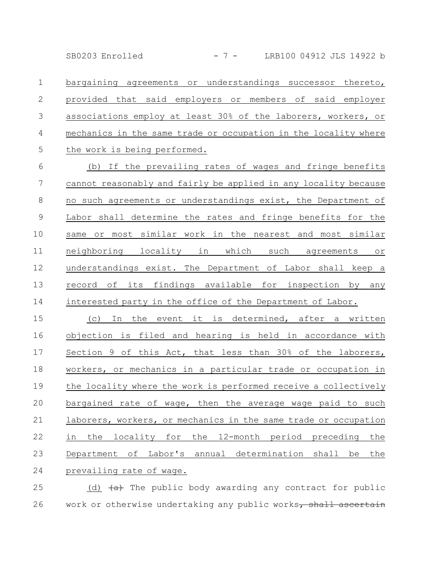SB0203 Enrolled - 7 - LRB100 04912 JLS 14922 b

bargaining agreements or understandings successor thereto, provided that said employers or members of said employer associations employ at least 30% of the laborers, workers, or mechanics in the same trade or occupation in the locality where the work is being performed. 1 2 3 4 5

(b) If the prevailing rates of wages and fringe benefits cannot reasonably and fairly be applied in any locality because no such agreements or understandings exist, the Department of Labor shall determine the rates and fringe benefits for the same or most similar work in the nearest and most similar neighboring locality in which such agreements or understandings exist. The Department of Labor shall keep a record of its findings available for inspection by any interested party in the office of the Department of Labor. 6 7 8 9 10 11 12 13 14

(c) In the event it is determined, after a written objection is filed and hearing is held in accordance with Section 9 of this Act, that less than 30% of the laborers, workers, or mechanics in a particular trade or occupation in the locality where the work is performed receive a collectively bargained rate of wage, then the average wage paid to such laborers, workers, or mechanics in the same trade or occupation in the locality for the 12-month period preceding the Department of Labor's annual determination shall be the prevailing rate of wage. 15 16 17 18 19 20 21 22 23 24

(d)  $\left( \text{a} \right)$  The public body awarding any contract for public work or otherwise undertaking any public works, shall ascertain 25 26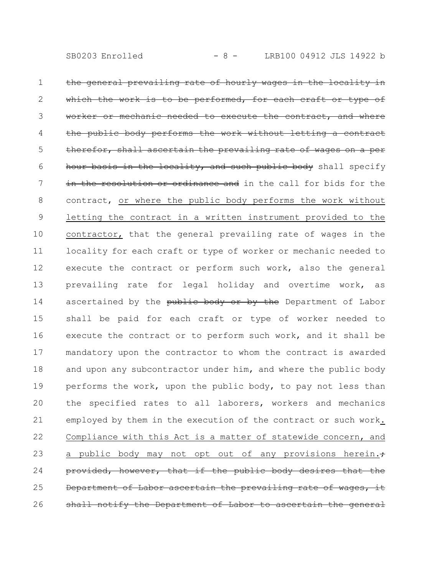the general prevailing rate of hourly wages in the locality in the work is to be performed, for each craft or type of worker or mechanic needed to execute the contract, and where body performs the work without letting a contract therefor, shall ascertain the prevailing rate of wages on a per hour basis in the locality, and such public body shall specify in the resolution or ordinance and in the call for bids for the contract, or where the public body performs the work without letting the contract in a written instrument provided to the contractor, that the general prevailing rate of wages in the locality for each craft or type of worker or mechanic needed to execute the contract or perform such work, also the general prevailing rate for legal holiday and overtime work, as ascertained by the public body or by the Department of Labor shall be paid for each craft or type of worker needed to execute the contract or to perform such work, and it shall be mandatory upon the contractor to whom the contract is awarded and upon any subcontractor under him, and where the public body performs the work, upon the public body, to pay not less than the specified rates to all laborers, workers and mechanics employed by them in the execution of the contract or such work. Compliance with this Act is a matter of statewide concern, and a public body may not opt out of any provisions herein. $\div$ provided, however, that if the public body desires that Department of Labor ascertain the prevailing rate of wages shall notify the Department of Labor to ascertain the general 1 2 3 4 5 6 7 8 9 10 11 12 13 14 15 16 17 18 19 20 21 22 23 24 25 26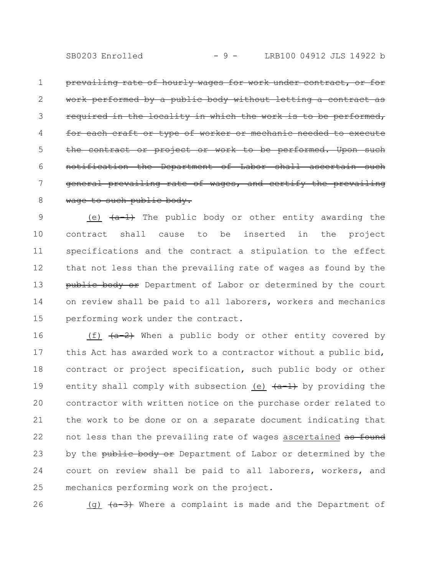prevailing rate of hourly wages for work under contract, or for work performed by a public body without letting a contract as required in the locality in which the work is to be performed, for each craft or type of worker or mechanic the contract or project or work to be performed. Upon such notification the Department of Labor shall ascertain such general prevailing rate of wages, and certify the prevailing wage to such public body. 1 2 3 4 5 6 7 8

(e)  $\{a-1\}$  The public body or other entity awarding the contract shall cause to be inserted in the project specifications and the contract a stipulation to the effect that not less than the prevailing rate of wages as found by the public body or Department of Labor or determined by the court on review shall be paid to all laborers, workers and mechanics performing work under the contract. 9 10 11 12 13 14 15

(f)  $\overline{a+2}$  When a public body or other entity covered by this Act has awarded work to a contractor without a public bid, contract or project specification, such public body or other entity shall comply with subsection (e)  $(a-1)$  by providing the contractor with written notice on the purchase order related to the work to be done or on a separate document indicating that not less than the prevailing rate of wages ascertained as found by the public body or Department of Labor or determined by the court on review shall be paid to all laborers, workers, and mechanics performing work on the project. 16 17 18 19 20 21 22 23 24 25

26

(g)  $(a-3)$  Where a complaint is made and the Department of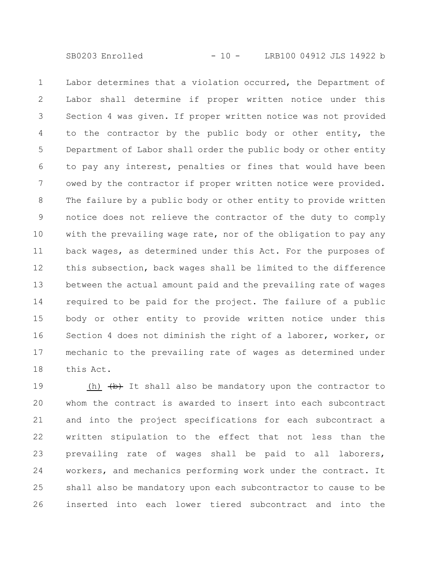SB0203 Enrolled - 10 - LRB100 04912 JLS 14922 b

Labor determines that a violation occurred, the Department of Labor shall determine if proper written notice under this Section 4 was given. If proper written notice was not provided to the contractor by the public body or other entity, the Department of Labor shall order the public body or other entity to pay any interest, penalties or fines that would have been owed by the contractor if proper written notice were provided. The failure by a public body or other entity to provide written notice does not relieve the contractor of the duty to comply with the prevailing wage rate, nor of the obligation to pay any back wages, as determined under this Act. For the purposes of this subsection, back wages shall be limited to the difference between the actual amount paid and the prevailing rate of wages required to be paid for the project. The failure of a public body or other entity to provide written notice under this Section 4 does not diminish the right of a laborer, worker, or mechanic to the prevailing rate of wages as determined under this Act. 1 2 3 4 5 6 7 8 9 10 11 12 13 14 15 16 17 18

(h)  $(b)$  It shall also be mandatory upon the contractor to whom the contract is awarded to insert into each subcontract and into the project specifications for each subcontract a written stipulation to the effect that not less than the prevailing rate of wages shall be paid to all laborers, workers, and mechanics performing work under the contract. It shall also be mandatory upon each subcontractor to cause to be inserted into each lower tiered subcontract and into the 19 20 21 22 23 24 25 26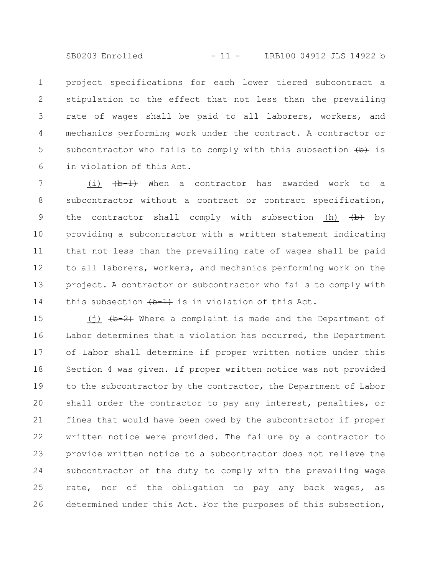SB0203 Enrolled - 11 - LRB100 04912 JLS 14922 b

project specifications for each lower tiered subcontract a stipulation to the effect that not less than the prevailing rate of wages shall be paid to all laborers, workers, and mechanics performing work under the contract. A contractor or subcontractor who fails to comply with this subsection  $\leftrightarrow$  is in violation of this Act. 1 2 3 4 5 6

(i)  $\left(\frac{b-1}{b}\right)$  When a contractor has awarded work to a subcontractor without a contract or contract specification, the contractor shall comply with subsection (h)  $\{b\}$  by providing a subcontractor with a written statement indicating that not less than the prevailing rate of wages shall be paid to all laborers, workers, and mechanics performing work on the project. A contractor or subcontractor who fails to comply with this subsection  $\leftarrow 1$  is in violation of this Act. 7 8 9 10 11 12 13 14

(j)  $(b-2)$  Where a complaint is made and the Department of Labor determines that a violation has occurred, the Department of Labor shall determine if proper written notice under this Section 4 was given. If proper written notice was not provided to the subcontractor by the contractor, the Department of Labor shall order the contractor to pay any interest, penalties, or fines that would have been owed by the subcontractor if proper written notice were provided. The failure by a contractor to provide written notice to a subcontractor does not relieve the subcontractor of the duty to comply with the prevailing wage rate, nor of the obligation to pay any back wages, as determined under this Act. For the purposes of this subsection, 15 16 17 18 19 20 21 22 23 24 25 26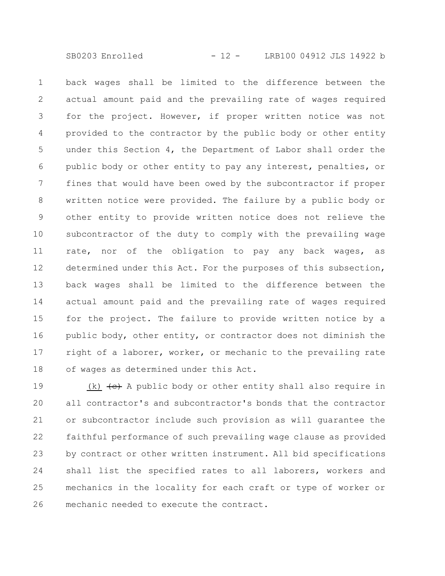back wages shall be limited to the difference between the actual amount paid and the prevailing rate of wages required for the project. However, if proper written notice was not provided to the contractor by the public body or other entity under this Section 4, the Department of Labor shall order the public body or other entity to pay any interest, penalties, or fines that would have been owed by the subcontractor if proper written notice were provided. The failure by a public body or other entity to provide written notice does not relieve the subcontractor of the duty to comply with the prevailing wage rate, nor of the obligation to pay any back wages, as determined under this Act. For the purposes of this subsection, back wages shall be limited to the difference between the actual amount paid and the prevailing rate of wages required for the project. The failure to provide written notice by a public body, other entity, or contractor does not diminish the right of a laborer, worker, or mechanic to the prevailing rate of wages as determined under this Act. 1 2 3 4 5 6 7 8 9 10 11 12 13 14 15 16 17 18

(k)  $\leftrightarrow$  A public body or other entity shall also require in all contractor's and subcontractor's bonds that the contractor or subcontractor include such provision as will guarantee the faithful performance of such prevailing wage clause as provided by contract or other written instrument. All bid specifications shall list the specified rates to all laborers, workers and mechanics in the locality for each craft or type of worker or mechanic needed to execute the contract. 19 20 21 22 23 24 25 26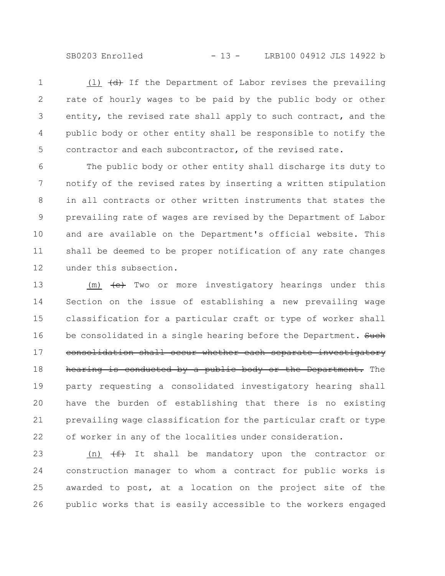SB0203 Enrolled - 13 - LRB100 04912 JLS 14922 b

(1)  $\left(\frac{d}{dt}\right)$  If the Department of Labor revises the prevailing rate of hourly wages to be paid by the public body or other entity, the revised rate shall apply to such contract, and the public body or other entity shall be responsible to notify the contractor and each subcontractor, of the revised rate. 1 2 3 4 5

The public body or other entity shall discharge its duty to notify of the revised rates by inserting a written stipulation in all contracts or other written instruments that states the prevailing rate of wages are revised by the Department of Labor and are available on the Department's official website. This shall be deemed to be proper notification of any rate changes under this subsection. 6 7 8 9 10 11 12

 $(m)$   $\leftarrow$  Two or more investigatory hearings under this Section on the issue of establishing a new prevailing wage classification for a particular craft or type of worker shall be consolidated in a single hearing before the Department. Such consolidation shall occur whether each separate investigatory hearing is conducted by a public body or the Department. The party requesting a consolidated investigatory hearing shall have the burden of establishing that there is no existing prevailing wage classification for the particular craft or type of worker in any of the localities under consideration. 13 14 15 16 17 18 19 20 21 22

(n)  $(f + f)$  It shall be mandatory upon the contractor or construction manager to whom a contract for public works is awarded to post, at a location on the project site of the public works that is easily accessible to the workers engaged 23 24 25 26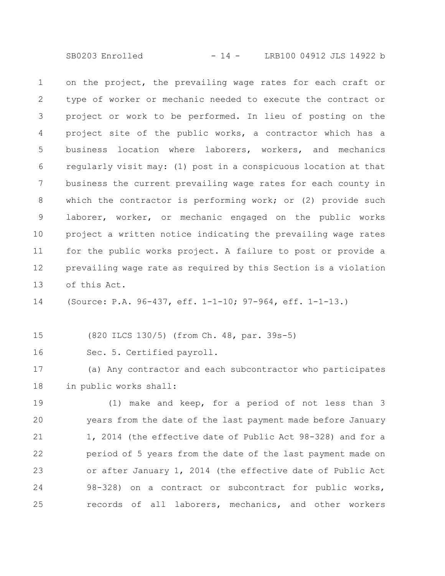SB0203 Enrolled - 14 - LRB100 04912 JLS 14922 b

on the project, the prevailing wage rates for each craft or type of worker or mechanic needed to execute the contract or project or work to be performed. In lieu of posting on the project site of the public works, a contractor which has a business location where laborers, workers, and mechanics regularly visit may: (1) post in a conspicuous location at that business the current prevailing wage rates for each county in which the contractor is performing work; or (2) provide such laborer, worker, or mechanic engaged on the public works project a written notice indicating the prevailing wage rates for the public works project. A failure to post or provide a prevailing wage rate as required by this Section is a violation of this Act. 1 2 3 4 5 6 7 8 9 10 11 12 13

(Source: P.A. 96-437, eff. 1-1-10; 97-964, eff. 1-1-13.) 14

(820 ILCS 130/5) (from Ch. 48, par. 39s-5) 15

Sec. 5. Certified payroll. 16

(a) Any contractor and each subcontractor who participates in public works shall: 17 18

(1) make and keep, for a period of not less than 3 years from the date of the last payment made before January 1, 2014 (the effective date of Public Act 98-328) and for a period of 5 years from the date of the last payment made on or after January 1, 2014 (the effective date of Public Act 98-328) on a contract or subcontract for public works, records of all laborers, mechanics, and other workers 19 20 21 22 23 24 25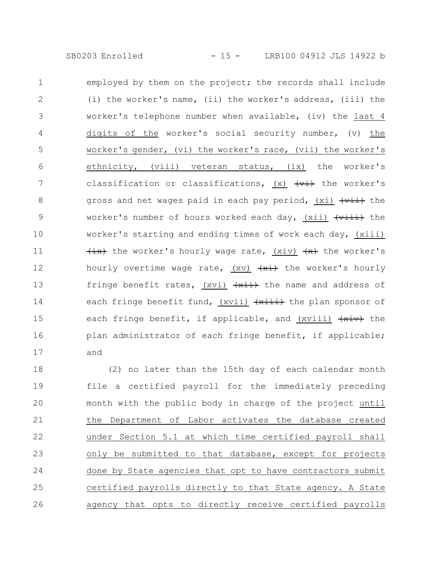employed by them on the project; the records shall include (i) the worker's name, (ii) the worker's address, (iii) the worker's telephone number when available, (iv) the last 4 digits of the worker's social security number, (v) the worker's gender, (vi) the worker's race, (vii) the worker's ethnicity, (viii) veteran status, (ix) the worker's classification or classifications,  $(x)$   $\overline{(+i)}$  the worker's gross and net wages paid in each pay period,  $(xi)$   $\overline{+v\overline{i}}$  the worker's number of hours worked each day, (xii)  $\overrightarrow{v \cdot i}$  the worker's starting and ending times of work each day, (xiii)  $\overline{a}(x)$  the worker's hourly wage rate,  $(xiv)$   $\overline{a}(x)$  the worker's hourly overtime wage rate,  $(xv)$   $\overline{+x}$  the worker's hourly fringe benefit rates, (xvi)  $\overline{+x}$  the name and address of each fringe benefit fund, (xvii) (xiii) the plan sponsor of each fringe benefit, if applicable, and (xviii)  $\overline{+xiv}$  the plan administrator of each fringe benefit, if applicable; and 1 2 3 4 5 6 7 8 9 10 11 12 13 14 15 16 17

(2) no later than the 15th day of each calendar month file a certified payroll for the immediately preceding month with the public body in charge of the project until the Department of Labor activates the database created under Section 5.1 at which time certified payroll shall only be submitted to that database, except for projects done by State agencies that opt to have contractors submit certified payrolls directly to that State agency. A State agency that opts to directly receive certified payrolls 18 19 20 21 22 23 24 25 26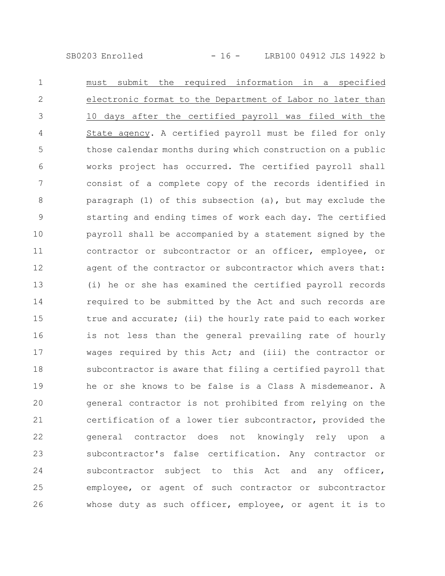SB0203 Enrolled - 16 - LRB100 04912 JLS 14922 b

must submit the required information in a specified electronic format to the Department of Labor no later than 10 days after the certified payroll was filed with the State agency. A certified payroll must be filed for only those calendar months during which construction on a public works project has occurred. The certified payroll shall consist of a complete copy of the records identified in paragraph (1) of this subsection (a), but may exclude the starting and ending times of work each day. The certified payroll shall be accompanied by a statement signed by the contractor or subcontractor or an officer, employee, or agent of the contractor or subcontractor which avers that: (i) he or she has examined the certified payroll records required to be submitted by the Act and such records are true and accurate; (ii) the hourly rate paid to each worker is not less than the general prevailing rate of hourly wages required by this Act; and (iii) the contractor or subcontractor is aware that filing a certified payroll that he or she knows to be false is a Class A misdemeanor. A general contractor is not prohibited from relying on the certification of a lower tier subcontractor, provided the general contractor does not knowingly rely upon a subcontractor's false certification. Any contractor or subcontractor subject to this Act and any officer, employee, or agent of such contractor or subcontractor whose duty as such officer, employee, or agent it is to 1 2 3 4 5 6 7 8 9 10 11 12 13 14 15 16 17 18 19 20 21 22 23 24 25 26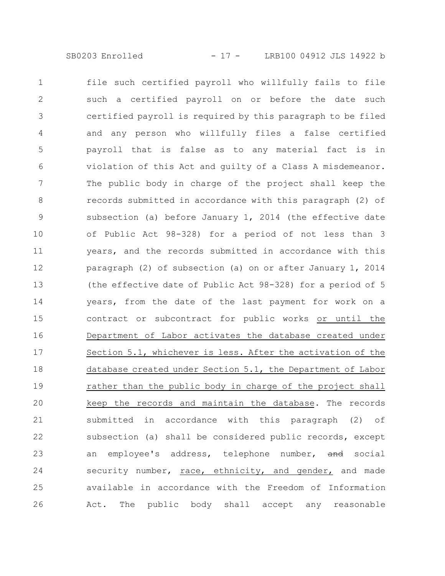file such certified payroll who willfully fails to file such a certified payroll on or before the date such certified payroll is required by this paragraph to be filed and any person who willfully files a false certified payroll that is false as to any material fact is in violation of this Act and guilty of a Class A misdemeanor. The public body in charge of the project shall keep the records submitted in accordance with this paragraph (2) of subsection (a) before January 1, 2014 (the effective date of Public Act 98-328) for a period of not less than 3 years, and the records submitted in accordance with this paragraph (2) of subsection (a) on or after January 1, 2014 (the effective date of Public Act 98-328) for a period of 5 years, from the date of the last payment for work on a contract or subcontract for public works or until the Department of Labor activates the database created under Section 5.1, whichever is less. After the activation of the database created under Section 5.1, the Department of Labor rather than the public body in charge of the project shall keep the records and maintain the database. The records submitted in accordance with this paragraph (2) of subsection (a) shall be considered public records, except an employee's address, telephone number, and social security number, race, ethnicity, and gender, and made available in accordance with the Freedom of Information Act. The public body shall accept any reasonable 1 2 3 4 5 6 7 8 9 10 11 12 13 14 15 16 17 18 19 20 21 22 23 24 25 26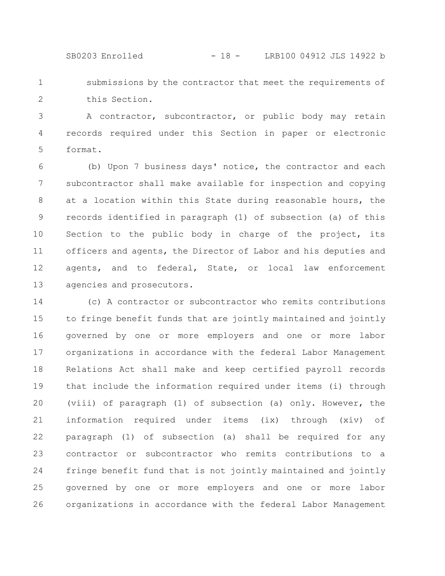SB0203 Enrolled - 18 - LRB100 04912 JLS 14922 b

submissions by the contractor that meet the requirements of this Section. 1 2

A contractor, subcontractor, or public body may retain records required under this Section in paper or electronic format. 3 4 5

(b) Upon 7 business days' notice, the contractor and each subcontractor shall make available for inspection and copying at a location within this State during reasonable hours, the records identified in paragraph (1) of subsection (a) of this Section to the public body in charge of the project, its officers and agents, the Director of Labor and his deputies and agents, and to federal, State, or local law enforcement agencies and prosecutors. 6 7 8 9 10 11 12 13

(c) A contractor or subcontractor who remits contributions to fringe benefit funds that are jointly maintained and jointly governed by one or more employers and one or more labor organizations in accordance with the federal Labor Management Relations Act shall make and keep certified payroll records that include the information required under items (i) through (viii) of paragraph (1) of subsection (a) only. However, the information required under items (ix) through (xiv) of paragraph (1) of subsection (a) shall be required for any contractor or subcontractor who remits contributions to a fringe benefit fund that is not jointly maintained and jointly governed by one or more employers and one or more labor organizations in accordance with the federal Labor Management 14 15 16 17 18 19 20 21 22 23 24 25 26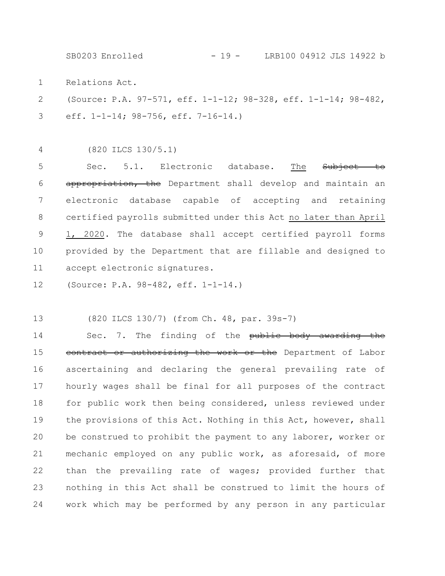SB0203 Enrolled - 19 - LRB100 04912 JLS 14922 b

Relations Act. 1

(Source: P.A. 97-571, eff. 1-1-12; 98-328, eff. 1-1-14; 98-482, eff. 1-1-14; 98-756, eff. 7-16-14.) 2 3

(820 ILCS 130/5.1) 4

Sec. 5.1. Electronic database. The Subject appropriation, the Department shall develop and maintain an electronic database capable of accepting and retaining certified payrolls submitted under this Act no later than April 1, 2020. The database shall accept certified payroll forms provided by the Department that are fillable and designed to accept electronic signatures. 5 6 7 8 9 10 11

(Source: P.A. 98-482, eff. 1-1-14.) 12

(820 ILCS 130/7) (from Ch. 48, par. 39s-7) 13

Sec. 7. The finding of the public body awarding the contract or authorizing the work or the Department of Labor ascertaining and declaring the general prevailing rate of hourly wages shall be final for all purposes of the contract for public work then being considered, unless reviewed under the provisions of this Act. Nothing in this Act, however, shall be construed to prohibit the payment to any laborer, worker or mechanic employed on any public work, as aforesaid, of more than the prevailing rate of wages; provided further that nothing in this Act shall be construed to limit the hours of work which may be performed by any person in any particular 14 15 16 17 18 19 20 21 22 23 24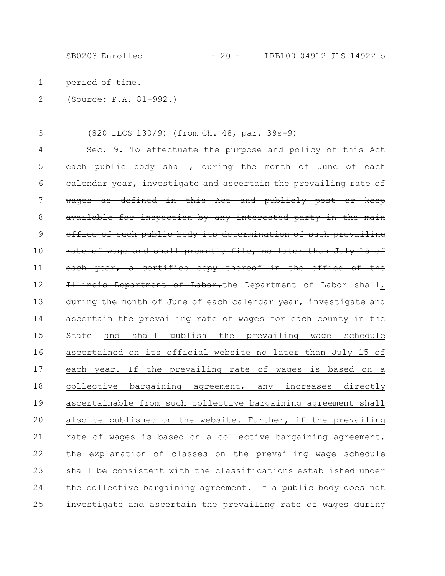SB0203 Enrolled - 20 - LRB100 04912 JLS 14922 b

period of time. 1

(Source: P.A. 81-992.) 2

(820 ILCS 130/9) (from Ch. 48, par. 39s-9) 3

Sec. 9. To effectuate the purpose and policy of this Act each public body shall, during the month of June of each calendar year, investigate and ascertain the prevailing rate of wages as defined in this Act and publicly post or keep available for inspection by any interested party in the main office of such public body its determination of such prevailing rate of wage and shall promptly file, no later than July 15 of each year, a certified copy thereof in the office of the Illinois Department of Labor.the Department of Labor shall, during the month of June of each calendar year, investigate and ascertain the prevailing rate of wages for each county in the State and shall publish the prevailing wage schedule ascertained on its official website no later than July 15 of each year. If the prevailing rate of wages is based on a collective bargaining agreement, any increases directly ascertainable from such collective bargaining agreement shall also be published on the website. Further, if the prevailing rate of wages is based on a collective bargaining agreement, the explanation of classes on the prevailing wage schedule shall be consistent with the classifications established under the collective bargaining agreement. If a public body does not investigate and ascertain the prevailing rate of wages during 4 5 6 7 8 9 10 11 12 13 14 15 16 17 18 19 20 21 22 23 24 25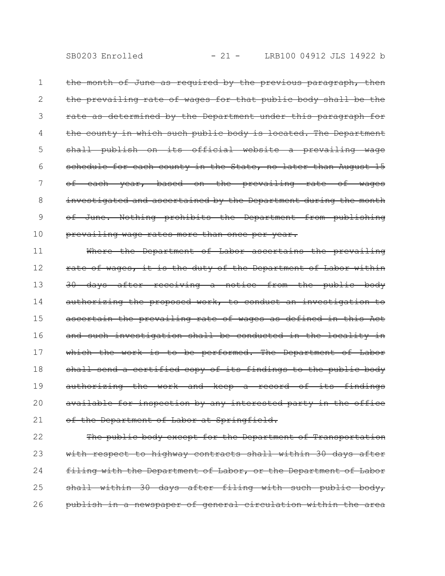the month of June as required by the previous paragraph, then the prevailing rate of wages for that public body shall be the rate as determined by the Department under this paragraph for the county in which such public body is located. The Department shall publish on its official website a prevailing wage schedule for each county in the State, no later than August 15 of each year, based on the prevailing rate of wages investigated and ascertained by the Department during the month of June. Nothing prohibits the Department from publishing prevailing wage rates more than once per year. 1 2 3 4 5 6 7 8 9 10

Where the Department of Labor ascertains the prevailing rate of wages, it is the duty of the Department of Labor within 30 days after receiving a notice from the public body authorizing the proposed work, to conduct an investigation to ascertain the prevailing rate of wages as defined in this Act and such investigation shall be conducted in the locality in which the work is to be performed. The Department of Labor shall send a certified copy of its findings to the public body authorizing the work and keep a record of its findings available for inspection by any interested party in the office of the Department of Labor at Springfield. 11 12 13 14 15 16 17 18 19 20 21

The public body except for the Department of Transportation with respect to highway contracts shall within 30 days after filing with the Department of Labor, or the Department of Labor shall within 30 days after filing with such public body, publish in a newspaper of general circulation within the area 22 23 24 25 26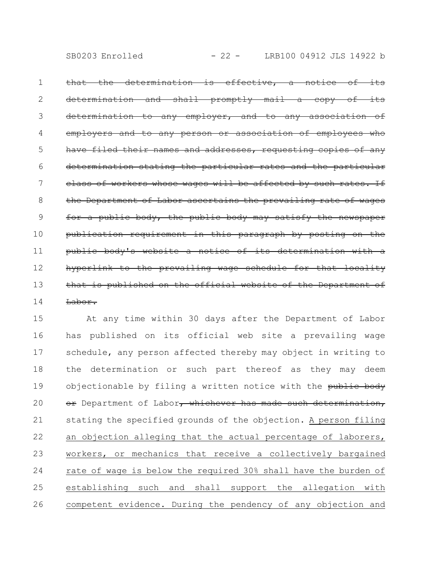that the determination is effective, a notice of its determination and shall promptly mail a copy determination to any employer, and to any association of employers and to any person or association names and addresses, requesting copies of any determination stating the particular rates and the particular class of workers whose wages will be affected by such rates. If the Department of Labor ascertains the prevailing rate of wages for a public body, the public body may satisfy the newspaper publication requirement in this paragraph by posting on the public body's website a notice of its determination hyperlink to the prevailing wage schedule for that that is published on the official website of the Department of Labor. 1 2 3 4 5 6 7 8 9 10 11 12 13 14

At any time within 30 days after the Department of Labor has published on its official web site a prevailing wage schedule, any person affected thereby may object in writing to the determination or such part thereof as they may deem objectionable by filing a written notice with the public body or Department of Labor, whichever has made such determination, stating the specified grounds of the objection. A person filing an objection alleging that the actual percentage of laborers, workers, or mechanics that receive a collectively bargained rate of wage is below the required 30% shall have the burden of establishing such and shall support the allegation with competent evidence. During the pendency of any objection and 15 16 17 18 19 20 21 22 23 24 25 26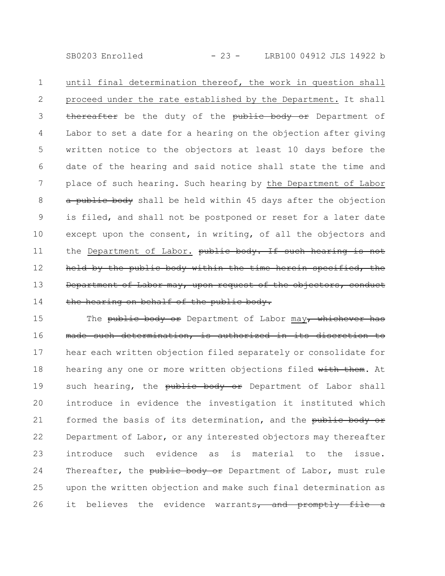SB0203 Enrolled - 23 - LRB100 04912 JLS 14922 b

until final determination thereof, the work in question shall proceed under the rate established by the Department. It shall thereafter be the duty of the public body or Department of Labor to set a date for a hearing on the objection after giving written notice to the objectors at least 10 days before the date of the hearing and said notice shall state the time and place of such hearing. Such hearing by the Department of Labor a public body shall be held within 45 days after the objection is filed, and shall not be postponed or reset for a later date except upon the consent, in writing, of all the objectors and the Department of Labor. public body. If such hearing is not held by the public body within the time herein specified, the Department of Labor may, upon request of the objectors, conduct the hearing on behalf of the public body. 1 2 3 4 5 6 7 8 9 10 11 12 13 14

The public body or Department of Labor may, whichever has made such determination, is authorized in its discretion to hear each written objection filed separately or consolidate for hearing any one or more written objections filed with them. At such hearing, the public body or Department of Labor shall introduce in evidence the investigation it instituted which formed the basis of its determination, and the public body or Department of Labor, or any interested objectors may thereafter introduce such evidence as is material to the issue. Thereafter, the public body or Department of Labor, must rule upon the written objection and make such final determination as it believes the evidence warrants, and promptly file 15 16 17 18 19 20 21 22 23 24 25 26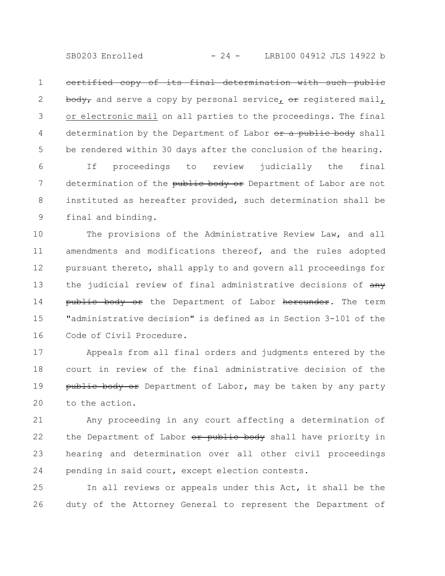SB0203 Enrolled - 24 - LRB100 04912 JLS 14922 b

certified copy of its final determination with such public body, and serve a copy by personal service, or registered mail, or electronic mail on all parties to the proceedings. The final determination by the Department of Labor or a public body shall be rendered within 30 days after the conclusion of the hearing. 1 2 3 4 5

If proceedings to review judicially the final determination of the public body or Department of Labor are not instituted as hereafter provided, such determination shall be final and binding. 6 7 8 9

The provisions of the Administrative Review Law, and all amendments and modifications thereof, and the rules adopted pursuant thereto, shall apply to and govern all proceedings for the judicial review of final administrative decisions of  $\frac{any}{any}$ public body or the Department of Labor hereunder. The term "administrative decision" is defined as in Section 3-101 of the Code of Civil Procedure. 10 11 12 13 14 15 16

Appeals from all final orders and judgments entered by the court in review of the final administrative decision of the public body or Department of Labor, may be taken by any party to the action. 17 18 19 20

Any proceeding in any court affecting a determination of the Department of Labor or public body shall have priority in hearing and determination over all other civil proceedings pending in said court, except election contests. 21 22 23 24

In all reviews or appeals under this Act, it shall be the duty of the Attorney General to represent the Department of 25 26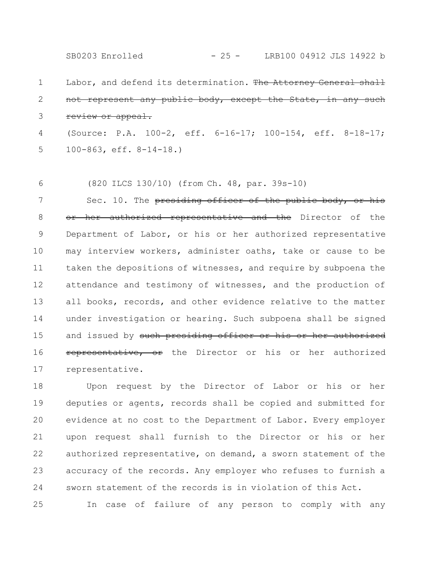Labor, and defend its determination. The Attorney General shall 1 SB0203 Enrolled - 25 - LRB100 04912 JLS 14922 b

not represent any public body, except the State, in any such review or appeal. 2 3

(Source: P.A. 100-2, eff. 6-16-17; 100-154, eff. 8-18-17; 100-863, eff. 8-14-18.) 4 5

(820 ILCS 130/10) (from Ch. 48, par. 39s-10) 6

Sec. 10. The presiding officer of the public body, or his or her authorized representative and the Director of the Department of Labor, or his or her authorized representative may interview workers, administer oaths, take or cause to be taken the depositions of witnesses, and require by subpoena the attendance and testimony of witnesses, and the production of all books, records, and other evidence relative to the matter under investigation or hearing. Such subpoena shall be signed and issued by such presiding officer or his or her authorized representative, or the Director or his or her authorized representative. 7 8 9 10 11 12 13 14 15 16 17

Upon request by the Director of Labor or his or her deputies or agents, records shall be copied and submitted for evidence at no cost to the Department of Labor. Every employer upon request shall furnish to the Director or his or her authorized representative, on demand, a sworn statement of the accuracy of the records. Any employer who refuses to furnish a sworn statement of the records is in violation of this Act. 18 19 20 21 22 23 24

In case of failure of any person to comply with any 25